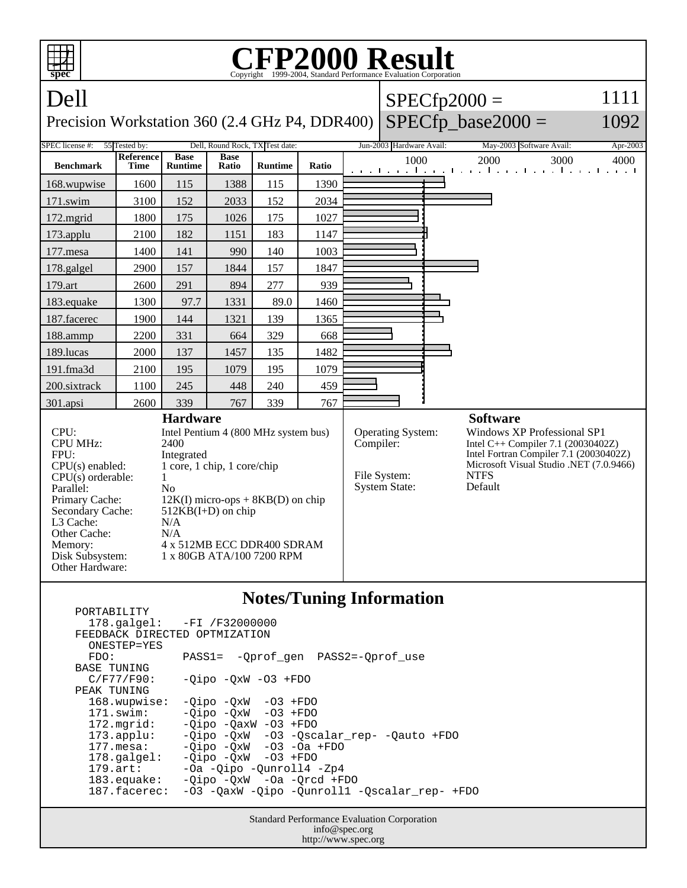| تتص<br>spec                                                                                                                                                                                                                                                                                                                                                                                                                                                                                 | <b>CFP2000 Result</b><br>Copyright ©1999-2004, Standard Performance Evaluation Corporation |                               |                      |                                 |           |                                                           |                          |                                                                                                                                                                                                     |                                                                               |          |  |
|---------------------------------------------------------------------------------------------------------------------------------------------------------------------------------------------------------------------------------------------------------------------------------------------------------------------------------------------------------------------------------------------------------------------------------------------------------------------------------------------|--------------------------------------------------------------------------------------------|-------------------------------|----------------------|---------------------------------|-----------|-----------------------------------------------------------|--------------------------|-----------------------------------------------------------------------------------------------------------------------------------------------------------------------------------------------------|-------------------------------------------------------------------------------|----------|--|
| Dell                                                                                                                                                                                                                                                                                                                                                                                                                                                                                        |                                                                                            |                               |                      |                                 |           |                                                           |                          |                                                                                                                                                                                                     | $SPECfp2000 =$                                                                | 1111     |  |
| $SPECfp\_base2000 =$<br>1092<br>Precision Workstation 360 (2.4 GHz P4, DDR400)                                                                                                                                                                                                                                                                                                                                                                                                              |                                                                                            |                               |                      |                                 |           |                                                           |                          |                                                                                                                                                                                                     |                                                                               |          |  |
| SPEC license #:                                                                                                                                                                                                                                                                                                                                                                                                                                                                             | 55 Tested by:                                                                              |                               |                      | Dell, Round Rock, TX Test date: |           |                                                           | Jun-2003 Hardware Avail: |                                                                                                                                                                                                     | May-2003 Software Avail:                                                      | Apr-2003 |  |
| <b>Benchmark</b>                                                                                                                                                                                                                                                                                                                                                                                                                                                                            | Reference<br><b>Time</b>                                                                   | <b>Base</b><br><b>Runtime</b> | <b>Base</b><br>Ratio | <b>Runtime</b>                  | Ratio     |                                                           | 1000                     |                                                                                                                                                                                                     | 2000<br>3000<br>and the continued are all and the continued and the continued | 4000     |  |
| 168.wupwise                                                                                                                                                                                                                                                                                                                                                                                                                                                                                 | 1600                                                                                       | 115                           | 1388                 | 115                             | 1390      |                                                           |                          |                                                                                                                                                                                                     |                                                                               |          |  |
| 171.swim                                                                                                                                                                                                                                                                                                                                                                                                                                                                                    | 3100                                                                                       | 152                           | 2033                 | 152                             | 2034      |                                                           |                          |                                                                                                                                                                                                     |                                                                               |          |  |
| 172.mgrid                                                                                                                                                                                                                                                                                                                                                                                                                                                                                   | 1800                                                                                       | 175                           | 1026                 | 175                             | 1027      |                                                           |                          |                                                                                                                                                                                                     |                                                                               |          |  |
| 173.applu                                                                                                                                                                                                                                                                                                                                                                                                                                                                                   | 2100                                                                                       | 182                           | 1151                 | 183                             | 1147      |                                                           |                          |                                                                                                                                                                                                     |                                                                               |          |  |
| 177.mesa                                                                                                                                                                                                                                                                                                                                                                                                                                                                                    | 1400                                                                                       | 141                           | 990                  | 140                             | 1003      |                                                           |                          |                                                                                                                                                                                                     |                                                                               |          |  |
| 178.galgel                                                                                                                                                                                                                                                                                                                                                                                                                                                                                  | 2900                                                                                       | 157                           | 1844                 | 157                             | 1847      |                                                           |                          |                                                                                                                                                                                                     |                                                                               |          |  |
| 179.art                                                                                                                                                                                                                                                                                                                                                                                                                                                                                     | 2600                                                                                       | 291                           | 894                  | 277                             | 939       |                                                           |                          |                                                                                                                                                                                                     |                                                                               |          |  |
| 183.equake                                                                                                                                                                                                                                                                                                                                                                                                                                                                                  | 1300                                                                                       | 97.7                          | 1331                 | 89.0                            | 1460      |                                                           |                          |                                                                                                                                                                                                     |                                                                               |          |  |
| 187.facerec                                                                                                                                                                                                                                                                                                                                                                                                                                                                                 | 1900                                                                                       | 144                           | 1321                 | 139                             | 1365      |                                                           |                          |                                                                                                                                                                                                     |                                                                               |          |  |
| 188.ammp                                                                                                                                                                                                                                                                                                                                                                                                                                                                                    | 2200                                                                                       | 331                           | 664                  | 329                             | 668       |                                                           |                          |                                                                                                                                                                                                     |                                                                               |          |  |
| 189.lucas                                                                                                                                                                                                                                                                                                                                                                                                                                                                                   | 2000                                                                                       | 137                           | 1457                 | 135                             | 1482      |                                                           |                          |                                                                                                                                                                                                     |                                                                               |          |  |
| 191.fma3d                                                                                                                                                                                                                                                                                                                                                                                                                                                                                   | 2100                                                                                       | 195                           | 1079                 | 195                             | 1079      |                                                           |                          |                                                                                                                                                                                                     |                                                                               |          |  |
| 200.sixtrack                                                                                                                                                                                                                                                                                                                                                                                                                                                                                | 1100                                                                                       | 245                           | 448                  | 240                             | 459       |                                                           |                          |                                                                                                                                                                                                     |                                                                               |          |  |
| 301.apsi                                                                                                                                                                                                                                                                                                                                                                                                                                                                                    | 2600                                                                                       | 339                           | 767                  | 339                             | 767       |                                                           |                          |                                                                                                                                                                                                     |                                                                               |          |  |
| <b>Hardware</b><br>CPU:<br>Intel Pentium 4 (800 MHz system bus)<br><b>CPU MHz:</b><br>2400<br>FPU:<br>Integrated<br>1 core, 1 chip, 1 core/chip<br>$CPU(s)$ enabled:<br>$CPU(s)$ orderable:<br>1<br>Parallel:<br>N <sub>o</sub><br>Primary Cache:<br>$12K(I)$ micro-ops + 8KB(D) on chip<br>Secondary Cache:<br>$512KB(I+D)$ on chip<br>L3 Cache:<br>N/A<br>Other Cache:<br>N/A<br>4 x 512MB ECC DDR400 SDRAM<br>Memory:<br>1 x 80GB ATA/100 7200 RPM<br>Disk Subsystem:<br>Other Hardware: |                                                                                            |                               |                      |                                 | Compiler: | Operating System:<br>File System:<br><b>System State:</b> |                          | <b>Software</b><br>Windows XP Professional SP1<br>Intel C++ Compiler 7.1 (20030402Z)<br>Intel Fortran Compiler 7.1 (20030402Z)<br>Microsoft Visual Studio .NET (7.0.9466)<br><b>NTFS</b><br>Default |                                                                               |          |  |
| <b>Notes/Tuning Information</b><br>PORTABILITY<br>$-FI$ /F32000000<br>178.galgel:                                                                                                                                                                                                                                                                                                                                                                                                           |                                                                                            |                               |                      |                                 |           |                                                           |                          |                                                                                                                                                                                                     |                                                                               |          |  |

 FEEDBACK DIRECTED OPTMIZATION ONESTEP=YES<br>FDO: PASS1= -Qprof\_gen PASS2=-Qprof\_use BASE TUNING<br>C/F77/F90:  $-Qipo$  -QxW -O3 +FDO PEAK TUNING<br>168.wupwise:  $-Qipo -QxW -O3 +FDO$  171.swim: -Qipo -QxW -O3 +FDO 172.mgrid: -Qipo -QaxW -O3 +FDO<br>173.applu: -Qipo -QxW -O3 -Qsc 173.applu: -Qipo -QxW -O3 -Qscalar\_rep- -Qauto +FDO 177.mesa: -Qipo -QxW -O3 -Oa +FDO 178.galgel: -Qipo -QxW -O3 +FDO 179.art: -Oa -Qipo -Qunroll4 -Zp4 183.equake: -Qipo -QxW -Oa -Qrcd +FDO 187.facerec: -O3 -QaxW -Qipo -Qunroll1 -Qscalar\_rep- +FDO

> Standard Performance Evaluation Corporation info@spec.org http://www.spec.org